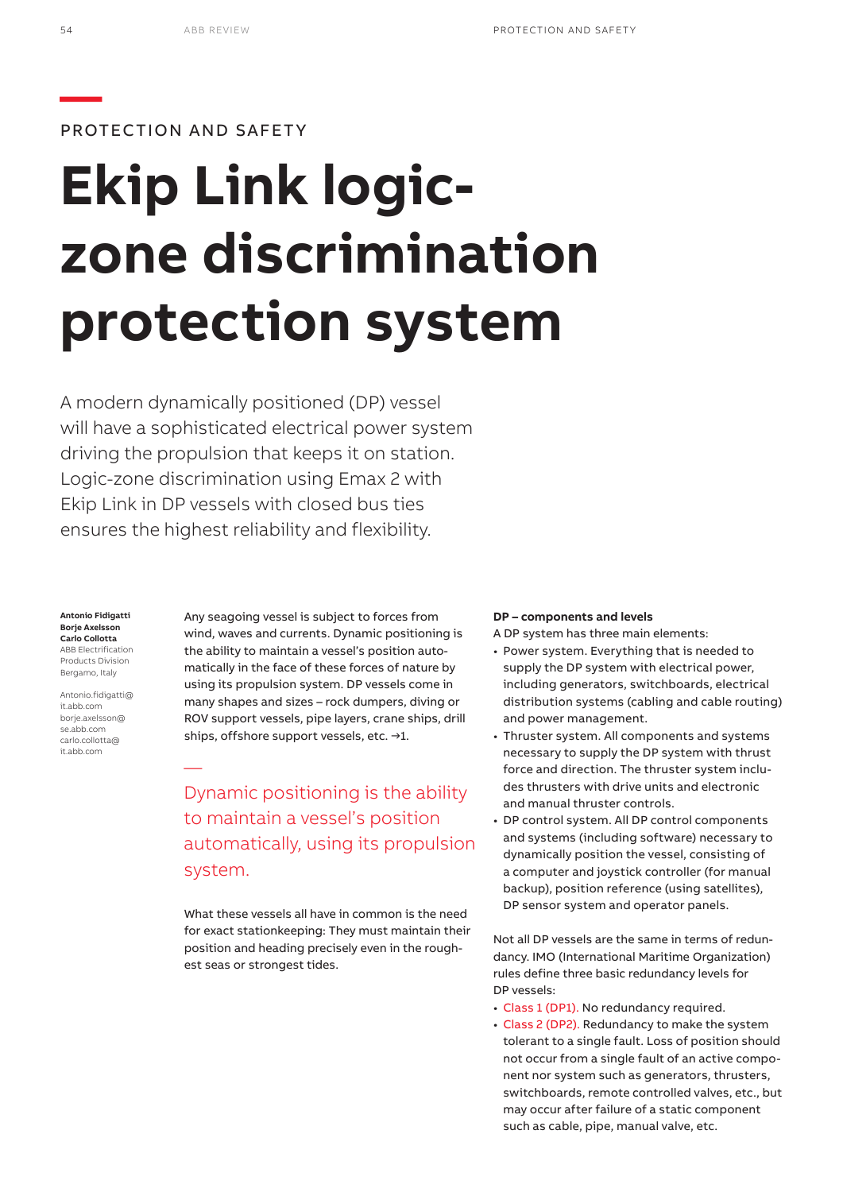

PROTECTION AND SAFETY

# **Ekip Link logiczone discrimination protection system**

A modern dynamically positioned (DP) vessel will have a sophisticated electrical power system driving the propulsion that keeps it on station. Logic-zone discrimination using Emax 2 with Ekip Link in DP vessels with closed bus ties ensures the highest reliability and flexibility.

#### **Antonio Fidigatti Borje Axelsson Carlo Collotta** ABB Electrification Products Division

Bergamo, Italy Antonio.fidigatti@

it.abb.com borje.axelsson@ se.abb.com carlo.collotta@ it.abb.com

—

Any seagoing vessel is subject to forces from wind, waves and currents. Dynamic positioning is the ability to maintain a vessel's position automatically in the face of these forces of nature by using its propulsion system. DP vessels come in many shapes and sizes – rock dumpers, diving or ROV support vessels, pipe layers, crane ships, drill ships, offshore support vessels, etc. →1.

Dynamic positioning is the ability to maintain a vessel's position automatically, using its propulsion system.

What these vessels all have in common is the need for exact stationkeeping: They must maintain their position and heading precisely even in the roughest seas or strongest tides.

# **DP – components and levels**

A DP system has three main elements:

- Power system. Everything that is needed to supply the DP system with electrical power, including generators, switchboards, electrical distribution systems (cabling and cable routing) and power management.
- Thruster system. All components and systems necessary to supply the DP system with thrust force and direction. The thruster system includes thrusters with drive units and electronic and manual thruster controls.
- DP control system. All DP control components and systems (including software) necessary to dynamically position the vessel, consisting of a computer and joystick controller (for manual backup), position reference (using satellites), DP sensor system and operator panels.

Not all DP vessels are the same in terms of redundancy. IMO (International Maritime Organization) rules define three basic redundancy levels for DP vessels:

- Class 1 (DP1). No redundancy required.
- Class 2 (DP2). Redundancy to make the system tolerant to a single fault. Loss of position should not occur from a single fault of an active component nor system such as generators, thrusters, switchboards, remote controlled valves, etc., but may occur after failure of a static component such as cable, pipe, manual valve, etc.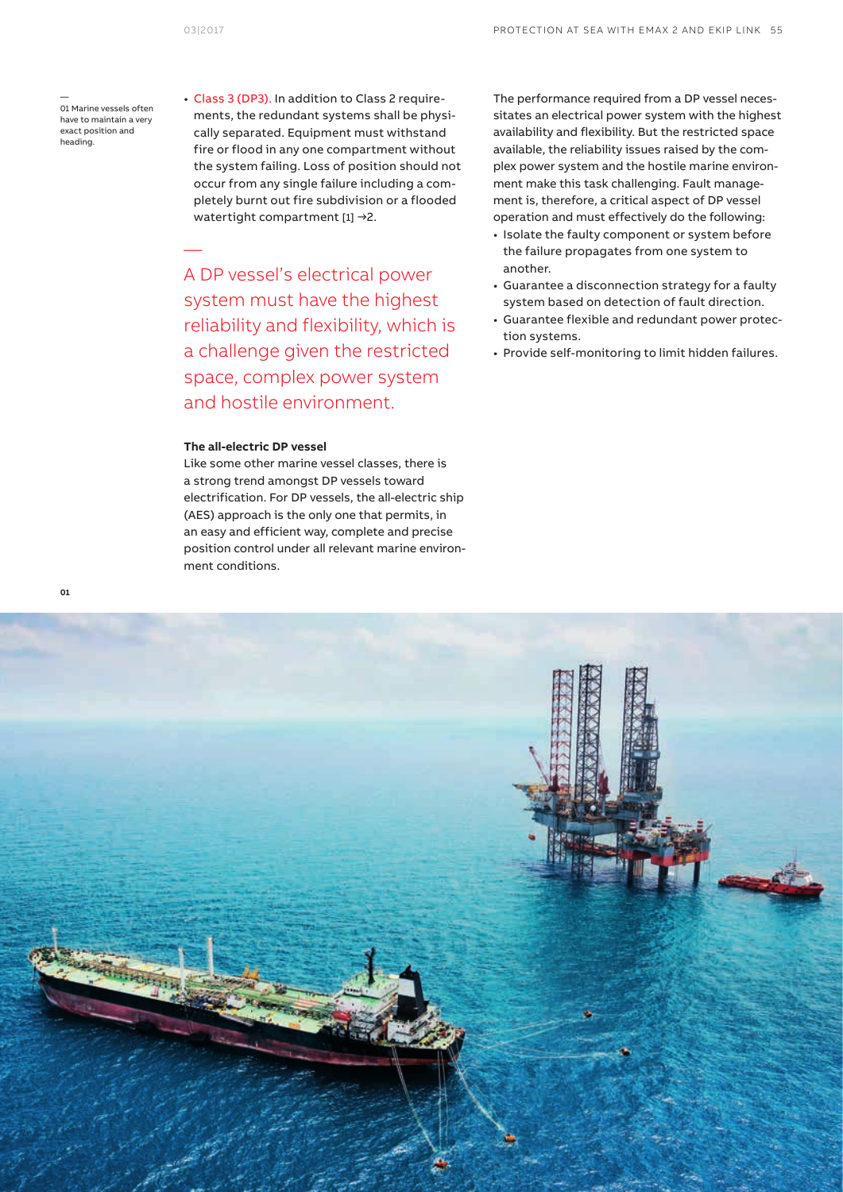—

01 Marine vessels often have to maintain a very exact position and heading.

—

• Class 3 (DP3). In addition to Class 2 requirements, the redundant systems shall be physically separated. Equipment must withstand fire or flood in any one compartment without the system failing. Loss of position should not occur from any single failure including a completely burnt out fire subdivision or a flooded watertight compartment [1] →2.

A DP vessel's electrical power system must have the highest reliability and flexibility, which is a challenge given the restricted space, complex power system and hostile environment.

# **The all-electric DP vessel**

Like some other marine vessel classes, there is a strong trend amongst DP vessels toward electrification. For DP vessels, the all-electric ship (AES) approach is the only one that permits, in an easy and efficient way, complete and precise position control under all relevant marine environment conditions.

The performance required from a DP vessel necessitates an electrical power system with the highest availability and flexibility. But the restricted space available, the reliability issues raised by the complex power system and the hostile marine environment make this task challenging. Fault management is, therefore, a critical aspect of DP vessel operation and must effectively do the following:

- Isolate the faulty component or system before the failure propagates from one system to another.
- Guarantee a disconnection strategy for a faulty system based on detection of fault direction.
- Guarantee flexible and redundant power protection systems.
- Provide self-monitoring to limit hidden failures.

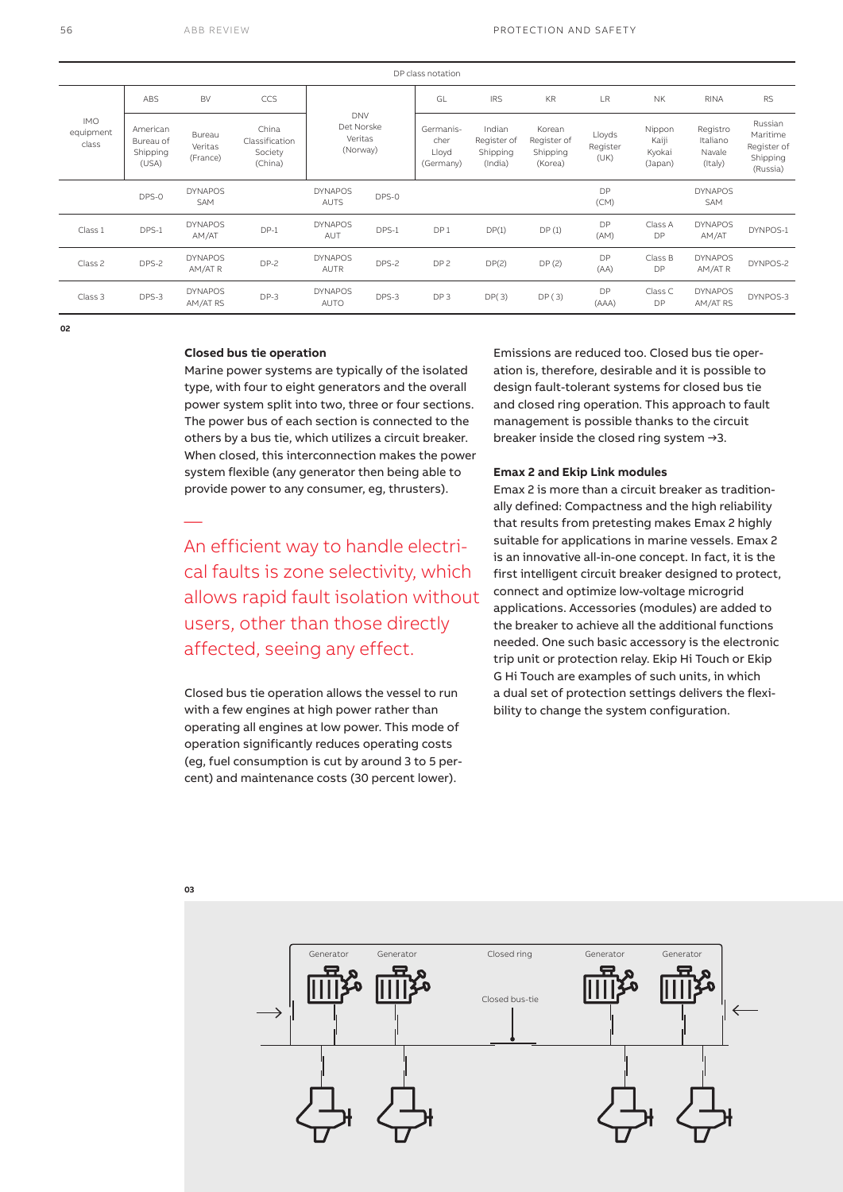| DP class notation                |                                            |                               |                                               |                                                 |       |                                         |                                              |                                              |                            |                                      |                                           |                                                            |
|----------------------------------|--------------------------------------------|-------------------------------|-----------------------------------------------|-------------------------------------------------|-------|-----------------------------------------|----------------------------------------------|----------------------------------------------|----------------------------|--------------------------------------|-------------------------------------------|------------------------------------------------------------|
| <b>IMO</b><br>equipment<br>class | <b>ABS</b>                                 | <b>BV</b>                     | CCS                                           | <b>DNV</b><br>Det Norske<br>Veritas<br>(Norway) |       | GL                                      | <b>IRS</b>                                   | <b>KR</b>                                    | LR                         | <b>NK</b>                            | <b>RINA</b>                               | <b>RS</b>                                                  |
|                                  | American<br>Bureau of<br>Shipping<br>(USA) | Bureau<br>Veritas<br>(France) | China<br>Classification<br>Society<br>(China) |                                                 |       | Germanis-<br>cher<br>Lloyd<br>(Germany) | Indian<br>Register of<br>Shipping<br>(India) | Korean<br>Register of<br>Shipping<br>(Korea) | Lloyds<br>Register<br>(UK) | Nippon<br>Kaiji<br>Kyokai<br>(Japan) | Registro<br>Italiano<br>Navale<br>(Italy) | Russian<br>Maritime<br>Register of<br>Shipping<br>(Russia) |
|                                  | DPS-0                                      | <b>DYNAPOS</b><br><b>SAM</b>  |                                               | <b>DYNAPOS</b><br><b>AUTS</b>                   | DPS-0 |                                         |                                              |                                              | DP<br>(CM)                 |                                      | <b>DYNAPOS</b><br>SAM                     |                                                            |
| Class 1                          | DPS-1                                      | <b>DYNAPOS</b><br>AM/AT       | $DP-1$                                        | <b>DYNAPOS</b><br>AUT                           | DPS-1 | DP <sub>1</sub>                         | DP(1)                                        | DP(1)                                        | DP<br>(AM)                 | Class A<br>DP                        | <b>DYNAPOS</b><br>AM/AT                   | DYNPOS-1                                                   |
| Class 2                          | DPS-2                                      | <b>DYNAPOS</b><br>AM/ATR      | $DP-2$                                        | <b>DYNAPOS</b><br>AUTR                          | DPS-2 | DP <sub>2</sub>                         | DP(2)                                        | DP(2)                                        | DP<br>(AA)                 | Class B<br>DP                        | <b>DYNAPOS</b><br>AM/ATR                  | DYNPOS-2                                                   |
| Class 3                          | DPS-3                                      | <b>DYNAPOS</b><br>AM/AT RS    | $DP-3$                                        | <b>DYNAPOS</b><br>AUTO                          | DPS-3 | DP <sub>3</sub>                         | DP(3)                                        | DP(3)                                        | DP<br>(AAA)                | Class C<br><b>DP</b>                 | <b>DYNAPOS</b><br>AM/AT RS                | DYNPOS-3                                                   |

**02**

## **Closed bus tie operation**

Marine power systems are typically of the isolated type, with four to eight generators and the overall power system split into two, three or four sections. The power bus of each section is connected to the others by a bus tie, which utilizes a circuit breaker. When closed, this interconnection makes the power system flexible (any generator then being able to provide power to any consumer, eg, thrusters).

An efficient way to handle electrical faults is zone selectivity, which allows rapid fault isolation without users, other than those directly affected, seeing any effect.

Closed bus tie operation allows the vessel to run with a few engines at high power rather than operating all engines at low power. This mode of operation significantly reduces operating costs (eg, fuel consumption is cut by around 3 to 5 percent) and maintenance costs (30 percent lower).

Emissions are reduced too. Closed bus tie operation is, therefore, desirable and it is possible to design fault-tolerant systems for closed bus tie and closed ring operation. This approach to fault management is possible thanks to the circuit breaker inside the closed ring system →3.

### **Emax 2 and Ekip Link modules**

Emax 2 is more than a circuit breaker as traditionally defined: Compactness and the high reliability that results from pretesting makes Emax 2 highly suitable for applications in marine vessels. Emax 2 is an innovative all-in-one concept. In fact, it is the first intelligent circuit breaker designed to protect, connect and optimize low-voltage microgrid applications. Accessories (modules) are added to the breaker to achieve all the additional functions needed. One such basic accessory is the electronic trip unit or protection relay. Ekip Hi Touch or Ekip G Hi Touch are examples of such units, in which a dual set of protection settings delivers the flexibility to change the system configuration.



**03** 

—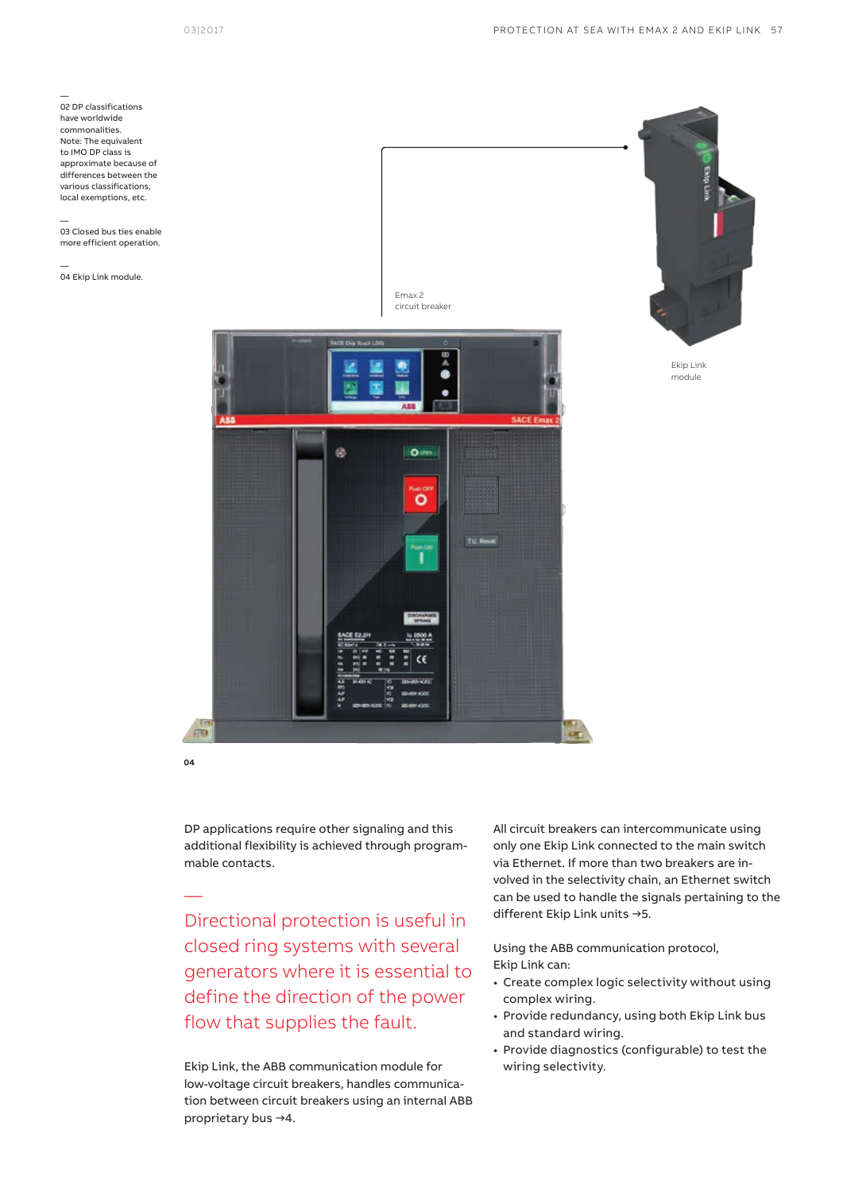— 02 DP classifications have worldwide commonalities. Note: The equivalent to IMO DP class is approximate because of differences between the various classifications, local exemptions, etc.

— 03 Closed bus ties enable more efficient operation.

— 04 Ekip Link module.



DP applications require other signaling and this additional flexibility is achieved through programmable contacts.

**04** 

—

Directional protection is useful in closed ring systems with several generators where it is essential to define the direction of the power flow that supplies the fault.

Ekip Link, the ABB communication module for low-voltage circuit breakers, handles communication between circuit breakers using an internal ABB proprietary bus →4.

All circuit breakers can intercommunicate using only one Ekip Link connected to the main switch via Ethernet. If more than two breakers are involved in the selectivity chain, an Ethernet switch can be used to handle the signals pertaining to the different Ekip Link units →5.

Using the ABB communication protocol, Ekip Link can:

- Create complex logic selectivity without using complex wiring.
- Provide redundancy, using both Ekip Link bus and standard wiring.
- Provide diagnostics (configurable) to test the wiring selectivity.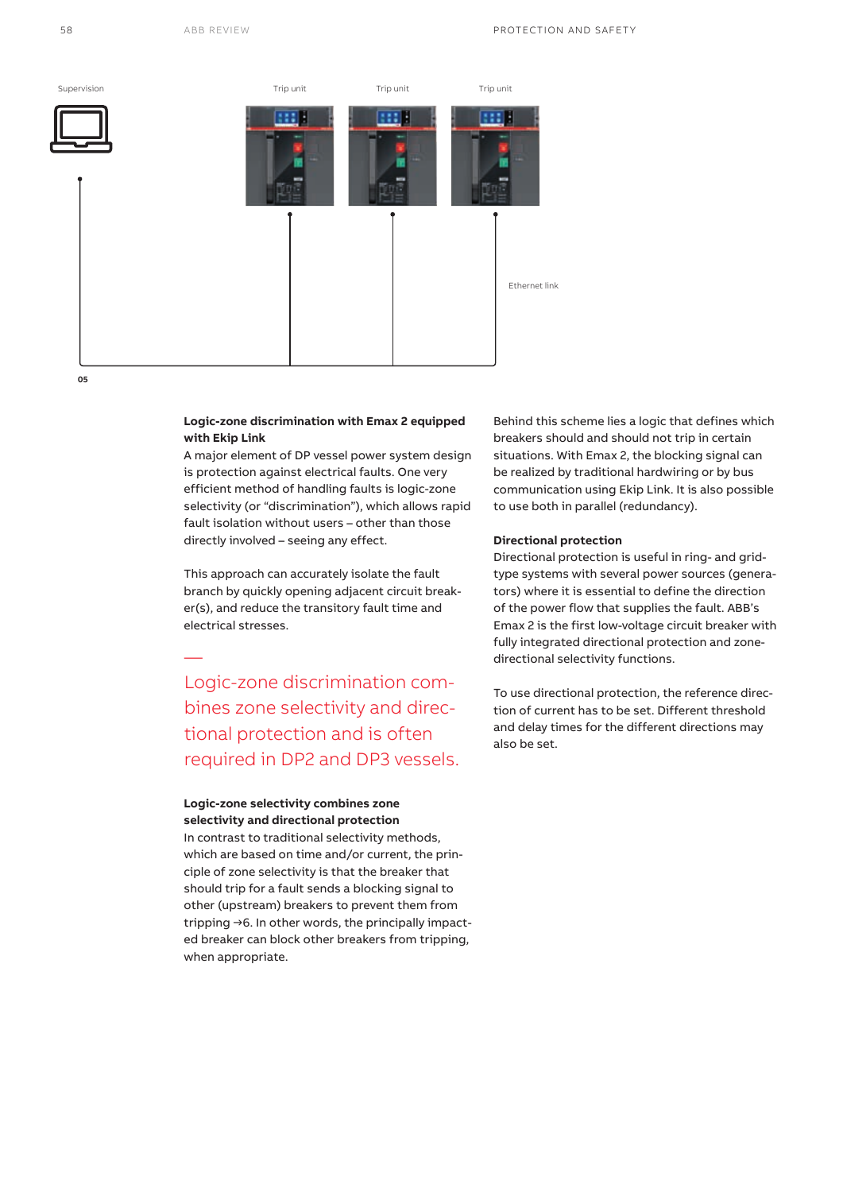

# **Logic-zone discrimination with Emax 2 equipped with Ekip Link**

A major element of DP vessel power system design is protection against electrical faults. One very efficient method of handling faults is logic-zone selectivity (or "discrimination"), which allows rapid fault isolation without users – other than those directly involved – seeing any effect.

This approach can accurately isolate the fault branch by quickly opening adjacent circuit breaker(s), and reduce the transitory fault time and electrical stresses.

Logic-zone discrimination combines zone selectivity and directional protection and is often required in DP2 and DP3 vessels.

# **Logic-zone selectivity combines zone selectivity and directional protection**

—

In contrast to traditional selectivity methods, which are based on time and/or current, the principle of zone selectivity is that the breaker that should trip for a fault sends a blocking signal to other (upstream) breakers to prevent them from tripping →6. In other words, the principally impacted breaker can block other breakers from tripping, when appropriate.

Behind this scheme lies a logic that defines which breakers should and should not trip in certain situations. With Emax 2, the blocking signal can be realized by traditional hardwiring or by bus communication using Ekip Link. It is also possible to use both in parallel (redundancy).

# **Directional protection**

Directional protection is useful in ring- and gridtype systems with several power sources (generators) where it is essential to define the direction of the power flow that supplies the fault. ABB's Emax 2 is the first low-voltage circuit breaker with fully integrated directional protection and zonedirectional selectivity functions.

To use directional protection, the reference direction of current has to be set. Different threshold and delay times for the different directions may also be set.